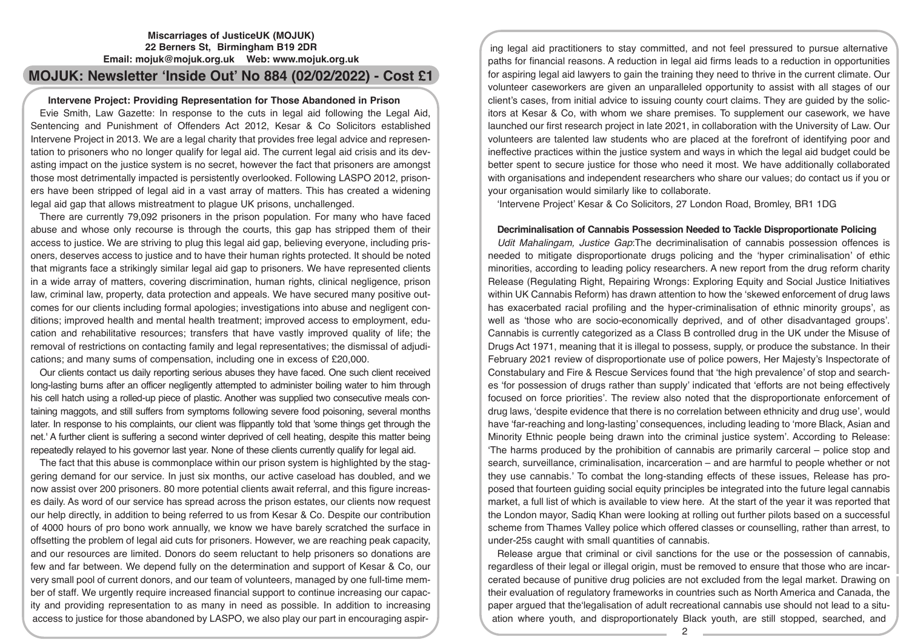# **Miscarriages of JusticeUK (MOJUK) 22 Berners St, Birmingham B19 2DR Email: mojuk@mojuk.org.uk Web: www.mojuk.org.uk**

# **MOJUK: Newsletter 'Inside Out' No 884 (02/02/2022) - Cost £1**

## **Intervene Project: Providing Representation for Those Abandoned in Prison**

Evie Smith, Law Gazette: In response to the cuts in legal aid following the Legal Aid, Sentencing and Punishment of Offenders Act 2012, Kesar & Co Solicitors established Intervene Project in 2013. We are a legal charity that provides free legal advice and representation to prisoners who no longer qualify for legal aid. The current legal aid crisis and its devasting impact on the justice system is no secret, however the fact that prisoners are amongst those most detrimentally impacted is persistently overlooked. Following LASPO 2012, prisoners have been stripped of legal aid in a vast array of matters. This has created a widening legal aid gap that allows mistreatment to plague UK prisons, unchallenged.

There are currently 79,092 prisoners in the prison population. For many who have faced abuse and whose only recourse is through the courts, this gap has stripped them of their access to justice. We are striving to plug this legal aid gap, believing everyone, including prisoners, deserves access to justice and to have their human rights protected. It should be noted that migrants face a strikingly similar legal aid gap to prisoners. We have represented clients in a wide array of matters, covering discrimination, human rights, clinical negligence, prison law, criminal law, property, data protection and appeals. We have secured many positive outcomes for our clients including formal apologies; investigations into abuse and negligent conditions; improved health and mental health treatment; improved access to employment, education and rehabilitative resources; transfers that have vastly improved quality of life; the removal of restrictions on contacting family and legal representatives; the dismissal of adjudications; and many sums of compensation, including one in excess of £20,000.

Our clients contact us daily reporting serious abuses they have faced. One such client received long-lasting burns after an officer negligently attempted to administer boiling water to him through his cell hatch using a rolled-up piece of plastic. Another was supplied two consecutive meals containing maggots, and still suffers from symptoms following severe food poisoning, several months later. In response to his complaints, our client was flippantly told that 'some things get through the net.' A further client is suffering a second winter deprived of cell heating, despite this matter being repeatedly relayed to his governor last year. None of these clients currently qualify for legal aid.

The fact that this abuse is commonplace within our prison system is highlighted by the staggering demand for our service. In just six months, our active caseload has doubled, and we now assist over 200 prisoners. 80 more potential clients await referral, and this figure increases daily. As word of our service has spread across the prison estates, our clients now request our help directly, in addition to being referred to us from Kesar & Co. Despite our contribution of 4000 hours of pro bono work annually, we know we have barely scratched the surface in offsetting the problem of legal aid cuts for prisoners. However, we are reaching peak capacity, and our resources are limited. Donors do seem reluctant to help prisoners so donations are few and far between. We depend fully on the determination and support of Kesar & Co, our very small pool of current donors, and our team of volunteers, managed by one full-time member of staff. We urgently require increased financial support to continue increasing our capacity and providing representation to as many in need as possible. In addition to increasing access to justice for those abandoned by LASPO, we also play our part in encouraging aspir-

ing legal aid practitioners to stay committed, and not feel pressured to pursue alternative paths for financial reasons. A reduction in legal aid firms leads to a reduction in opportunities for aspiring legal aid lawyers to gain the training they need to thrive in the current climate. Our volunteer caseworkers are given an unparalleled opportunity to assist with all stages of our client's cases, from initial advice to issuing county court claims. They are guided by the solicitors at Kesar & Co, with whom we share premises. To supplement our casework, we have launched our first research project in late 2021, in collaboration with the University of Law. Our volunteers are talented law students who are placed at the forefront of identifying poor and ineffective practices within the justice system and ways in which the legal aid budget could be better spent to secure justice for those who need it most. We have additionally collaborated with organisations and independent researchers who share our values; do contact us if you or your organisation would similarly like to collaborate.

'Intervene Project' Kesar & Co Solicitors, 27 London Road, Bromley, BR1 1DG

#### **Decriminalisation of Cannabis Possession Needed to Tackle Disproportionate Policing**

*Udit Mahalingam, Justice Gap*:The decriminalisation of cannabis possession offences is needed to mitigate disproportionate drugs policing and the 'hyper criminalisation' of ethic minorities, according to leading policy researchers. A new report from the drug reform charity Release (Regulating Right, Repairing Wrongs: Exploring Equity and Social Justice Initiatives within UK Cannabis Reform) has drawn attention to how the 'skewed enforcement of drug laws has exacerbated racial profiling and the hyper-criminalisation of ethnic minority groups', as well as 'those who are socio-economically deprived, and of other disadvantaged groups'. Cannabis is currently categorized as a Class B controlled drug in the UK under the Misuse of Drugs Act 1971, meaning that it is illegal to possess, supply, or produce the substance. In their February 2021 review of disproportionate use of police powers, Her Majesty's Inspectorate of Constabulary and Fire & Rescue Services found that 'the high prevalence' of stop and searches 'for possession of drugs rather than supply' indicated that 'efforts are not being effectively focused on force priorities'. The review also noted that the disproportionate enforcement of drug laws, 'despite evidence that there is no correlation between ethnicity and drug use', would have 'far-reaching and long-lasting' consequences, including leading to 'more Black, Asian and Minority Ethnic people being drawn into the criminal justice system'. According to Release: 'The harms produced by the prohibition of cannabis are primarily carceral – police stop and search, surveillance, criminalisation, incarceration – and are harmful to people whether or not they use cannabis.' To combat the long-standing effects of these issues, Release has proposed that fourteen guiding social equity principles be integrated into the future legal cannabis market, a full list of which is available to view here. At the start of the year it was reported that the London mayor, Sadiq Khan were looking at rolling out further pilots based on a successful scheme from Thames Valley police which offered classes or counselling, rather than arrest, to under-25s caught with small quantities of cannabis.

Release argue that criminal or civil sanctions for the use or the possession of cannabis, regardless of their legal or illegal origin, must be removed to ensure that those who are incarcerated because of punitive drug policies are not excluded from the legal market. Drawing on their evaluation of regulatory frameworks in countries such as North America and Canada, the paper argued that the'legalisation of adult recreational cannabis use should not lead to a situation where youth, and disproportionately Black youth, are still stopped, searched, and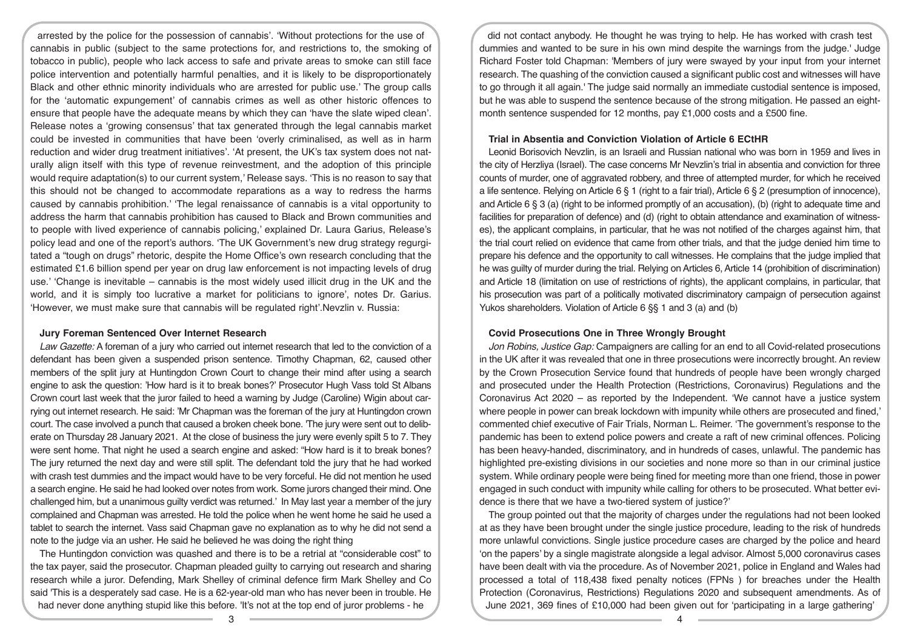arrested by the police for the possession of cannabis'. 'Without protections for the use of cannabis in public (subject to the same protections for, and restrictions to, the smoking of tobacco in public), people who lack access to safe and private areas to smoke can still face police intervention and potentially harmful penalties, and it is likely to be disproportionately Black and other ethnic minority individuals who are arrested for public use.' The group calls for the 'automatic expungement' of cannabis crimes as well as other historic offences to ensure that people have the adequate means by which they can 'have the slate wiped clean'. Release notes a 'growing consensus' that tax generated through the legal cannabis market could be invested in communities that have been 'overly criminalised, as well as in harm reduction and wider drug treatment initiatives'. 'At present, the UK's tax system does not naturally align itself with this type of revenue reinvestment, and the adoption of this principle would require adaptation(s) to our current system,' Release says. 'This is no reason to say that this should not be changed to accommodate reparations as a way to redress the harms caused by cannabis prohibition.' 'The legal renaissance of cannabis is a vital opportunity to address the harm that cannabis prohibition has caused to Black and Brown communities and to people with lived experience of cannabis policing,' explained Dr. Laura Garius, Release's policy lead and one of the report's authors. 'The UK Government's new drug strategy regurgitated a "tough on drugs" rhetoric, despite the Home Office's own research concluding that the estimated £1.6 billion spend per year on drug law enforcement is not impacting levels of drug use.' 'Change is inevitable – cannabis is the most widely used illicit drug in the UK and the world, and it is simply too lucrative a market for politicians to ignore', notes Dr. Garius. 'However, we must make sure that cannabis will be regulated right'.Nevzlin v. Russia:

#### **Jury Foreman Sentenced Over Internet Research**

*Law Gazette:* A foreman of a jury who carried out internet research that led to the conviction of a defendant has been given a suspended prison sentence. Timothy Chapman, 62, caused other members of the split jury at Huntingdon Crown Court to change their mind after using a search engine to ask the question: 'How hard is it to break bones?' Prosecutor Hugh Vass told St Albans Crown court last week that the juror failed to heed a warning by Judge (Caroline) Wigin about carrying out internet research. He said: 'Mr Chapman was the foreman of the jury at Huntingdon crown court. The case involved a punch that caused a broken cheek bone. 'The jury were sent out to deliberate on Thursday 28 January 2021. At the close of business the jury were evenly spilt 5 to 7. They were sent home. That night he used a search engine and asked: "How hard is it to break bones? The jury returned the next day and were still split. The defendant told the jury that he had worked with crash test dummies and the impact would have to be very forceful. He did not mention he used a search engine. He said he had looked over notes from work. Some jurors changed their mind. One challenged him, but a unanimous guilty verdict was returned.' In May last year a member of the jury complained and Chapman was arrested. He told the police when he went home he said he used a tablet to search the internet. Vass said Chapman gave no explanation as to why he did not send a note to the judge via an usher. He said he believed he was doing the right thing

The Huntingdon conviction was quashed and there is to be a retrial at "considerable cost" to the tax payer, said the prosecutor. Chapman pleaded guilty to carrying out research and sharing research while a juror. Defending, Mark Shelley of criminal defence firm Mark Shelley and Co said 'This is a desperately sad case. He is a 62-year-old man who has never been in trouble. He had never done anything stupid like this before. 'It's not at the top end of juror problems - he

did not contact anybody. He thought he was trying to help. He has worked with crash test dummies and wanted to be sure in his own mind despite the warnings from the judge.' Judge Richard Foster told Chapman: 'Members of jury were swayed by your input from your internet research. The quashing of the conviction caused a significant public cost and witnesses will have to go through it all again.' The judge said normally an immediate custodial sentence is imposed, but he was able to suspend the sentence because of the strong mitigation. He passed an eightmonth sentence suspended for 12 months, pay £1,000 costs and a £500 fine.

## **Trial in Absentia and Conviction Violation of Article 6 ECtHR**

Leonid Borisovich Nevzlin, is an Israeli and Russian national who was born in 1959 and lives in the city of Herzliya (Israel). The case concerns Mr Nevzlin's trial in absentia and conviction for three counts of murder, one of aggravated robbery, and three of attempted murder, for which he received a life sentence. Relying on Article 6 § 1 (right to a fair trial), Article 6 § 2 (presumption of innocence), and Article 6 § 3 (a) (right to be informed promptly of an accusation), (b) (right to adequate time and facilities for preparation of defence) and (d) (right to obtain attendance and examination of witnesses), the applicant complains, in particular, that he was not notified of the charges against him, that the trial court relied on evidence that came from other trials, and that the judge denied him time to prepare his defence and the opportunity to call witnesses. He complains that the judge implied that he was guilty of murder during the trial. Relying on Articles 6, Article 14 (prohibition of discrimination) and Article 18 (limitation on use of restrictions of rights), the applicant complains, in particular, that his prosecution was part of a politically motivated discriminatory campaign of persecution against Yukos shareholders. Violation of Article 6 §§ 1 and 3 (a) and (b)

# **Covid Prosecutions One in Three Wrongly Brought**

*Jon Robins, Justice Gap:* Campaigners are calling for an end to all Covid-related prosecutions in the UK after it was revealed that one in three prosecutions were incorrectly brought. An review by the Crown Prosecution Service found that hundreds of people have been wrongly charged and prosecuted under the Health Protection (Restrictions, Coronavirus) Regulations and the Coronavirus Act 2020 – as reported by the Independent. 'We cannot have a justice system where people in power can break lockdown with impunity while others are prosecuted and fined,' commented chief executive of Fair Trials, Norman L. Reimer. 'The government's response to the pandemic has been to extend police powers and create a raft of new criminal offences. Policing has been heavy-handed, discriminatory, and in hundreds of cases, unlawful. The pandemic has highlighted pre-existing divisions in our societies and none more so than in our criminal justice system. While ordinary people were being fined for meeting more than one friend, those in power engaged in such conduct with impunity while calling for others to be prosecuted. What better evidence is there that we have a two-tiered system of justice?'

The group pointed out that the majority of charges under the regulations had not been looked at as they have been brought under the single justice procedure, leading to the risk of hundreds more unlawful convictions. Single justice procedure cases are charged by the police and heard 'on the papers' by a single magistrate alongside a legal advisor. Almost 5,000 coronavirus cases have been dealt with via the procedure. As of November 2021, police in England and Wales had processed a total of 118,438 fixed penalty notices (FPNs ) for breaches under the Health Protection (Coronavirus, Restrictions) Regulations 2020 and subsequent amendments. As of June 2021, 369 fines of £10,000 had been given out for 'participating in a large gathering'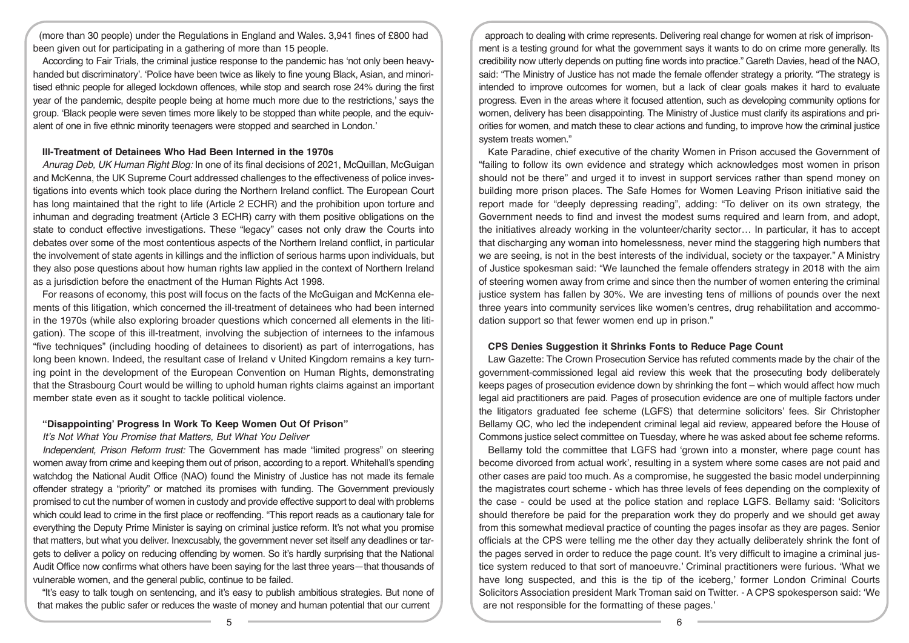(more than 30 people) under the Regulations in England and Wales. 3,941 fines of £800 had been given out for participating in a gathering of more than 15 people.

According to Fair Trials, the criminal justice response to the pandemic has 'not only been heavyhanded but discriminatory'. 'Police have been twice as likely to fine young Black, Asian, and minoritised ethnic people for alleged lockdown offences, while stop and search rose 24% during the first year of the pandemic, despite people being at home much more due to the restrictions,' says the group. 'Black people were seven times more likely to be stopped than white people, and the equivalent of one in five ethnic minority teenagers were stopped and searched in London.'

#### **Ill-Treatment of Detainees Who Had Been Interned in the 1970s**

*Anurag Deb, UK Human Right Blog:* In one of its final decisions of 2021, McQuillan, McGuigan and McKenna, the UK Supreme Court addressed challenges to the effectiveness of police investigations into events which took place during the Northern Ireland conflict. The European Court has long maintained that the right to life (Article 2 ECHR) and the prohibition upon torture and inhuman and degrading treatment (Article 3 ECHR) carry with them positive obligations on the state to conduct effective investigations. These "legacy" cases not only draw the Courts into debates over some of the most contentious aspects of the Northern Ireland conflict, in particular the involvement of state agents in killings and the infliction of serious harms upon individuals, but they also pose questions about how human rights law applied in the context of Northern Ireland as a jurisdiction before the enactment of the Human Rights Act 1998.

For reasons of economy, this post will focus on the facts of the McGuigan and McKenna elements of this litigation, which concerned the ill-treatment of detainees who had been interned in the 1970s (while also exploring broader questions which concerned all elements in the litigation). The scope of this ill-treatment, involving the subjection of internees to the infamous "five techniques" (including hooding of detainees to disorient) as part of interrogations, has long been known. Indeed, the resultant case of Ireland v United Kingdom remains a key turning point in the development of the European Convention on Human Rights, demonstrating that the Strasbourg Court would be willing to uphold human rights claims against an important member state even as it sought to tackle political violence.

## **"Disappointing' Progress In Work To Keep Women Out Of Prison"**

*It's Not What You Promise that Matters, But What You Deliver* 

*Independent, Prison Reform trust:* The Government has made "limited progress" on steering women away from crime and keeping them out of prison, according to a report. Whitehall's spending watchdog the National Audit Office (NAO) found the Ministry of Justice has not made its female offender strategy a "priority" or matched its promises with funding. The Government previously promised to cut the number of women in custody and provide effective support to deal with problems which could lead to crime in the first place or reoffending. "This report reads as a cautionary tale for everything the Deputy Prime Minister is saying on criminal justice reform. It's not what you promise that matters, but what you deliver. Inexcusably, the government never set itself any deadlines or targets to deliver a policy on reducing offending by women. So it's hardly surprising that the National Audit Office now confirms what others have been saying for the last three years—that thousands of vulnerable women, and the general public, continue to be failed.

"It's easy to talk tough on sentencing, and it's easy to publish ambitious strategies. But none of that makes the public safer or reduces the waste of money and human potential that our current

approach to dealing with crime represents. Delivering real change for women at risk of imprisonment is a testing ground for what the government says it wants to do on crime more generally. Its credibility now utterly depends on putting fine words into practice." Gareth Davies, head of the NAO, said: "The Ministry of Justice has not made the female offender strategy a priority. "The strategy is intended to improve outcomes for women, but a lack of clear goals makes it hard to evaluate progress. Even in the areas where it focused attention, such as developing community options for women, delivery has been disappointing. The Ministry of Justice must clarify its aspirations and priorities for women, and match these to clear actions and funding, to improve how the criminal justice system treats women."

Kate Paradine, chief executive of the charity Women in Prison accused the Government of "failing to follow its own evidence and strategy which acknowledges most women in prison should not be there" and urged it to invest in support services rather than spend money on building more prison places. The Safe Homes for Women Leaving Prison initiative said the report made for "deeply depressing reading", adding: "To deliver on its own strategy, the Government needs to find and invest the modest sums required and learn from, and adopt, the initiatives already working in the volunteer/charity sector… In particular, it has to accept that discharging any woman into homelessness, never mind the staggering high numbers that we are seeing, is not in the best interests of the individual, society or the taxpayer." A Ministry of Justice spokesman said: "We launched the female offenders strategy in 2018 with the aim of steering women away from crime and since then the number of women entering the criminal justice system has fallen by 30%. We are investing tens of millions of pounds over the next three years into community services like women's centres, drug rehabilitation and accommodation support so that fewer women end up in prison."

## **CPS Denies Suggestion it Shrinks Fonts to Reduce Page Count**

Law Gazette: The Crown Prosecution Service has refuted comments made by the chair of the government-commissioned legal aid review this week that the prosecuting body deliberately keeps pages of prosecution evidence down by shrinking the font – which would affect how much legal aid practitioners are paid. Pages of prosecution evidence are one of multiple factors under the litigators graduated fee scheme (LGFS) that determine solicitors' fees. Sir Christopher Bellamy QC, who led the independent criminal legal aid review, appeared before the House of Commons justice select committee on Tuesday, where he was asked about fee scheme reforms.

Bellamy told the committee that LGFS had 'grown into a monster, where page count has become divorced from actual work', resulting in a system where some cases are not paid and other cases are paid too much. As a compromise, he suggested the basic model underpinning the magistrates court scheme - which has three levels of fees depending on the complexity of the case - could be used at the police station and replace LGFS. Bellamy said: 'Solicitors should therefore be paid for the preparation work they do properly and we should get away from this somewhat medieval practice of counting the pages insofar as they are pages. Senior officials at the CPS were telling me the other day they actually deliberately shrink the font of the pages served in order to reduce the page count. It's very difficult to imagine a criminal justice system reduced to that sort of manoeuvre.' Criminal practitioners were furious. 'What we have long suspected, and this is the tip of the iceberg,' former London Criminal Courts Solicitors Association president Mark Troman said on Twitter. - A CPS spokesperson said: 'We are not responsible for the formatting of these pages.'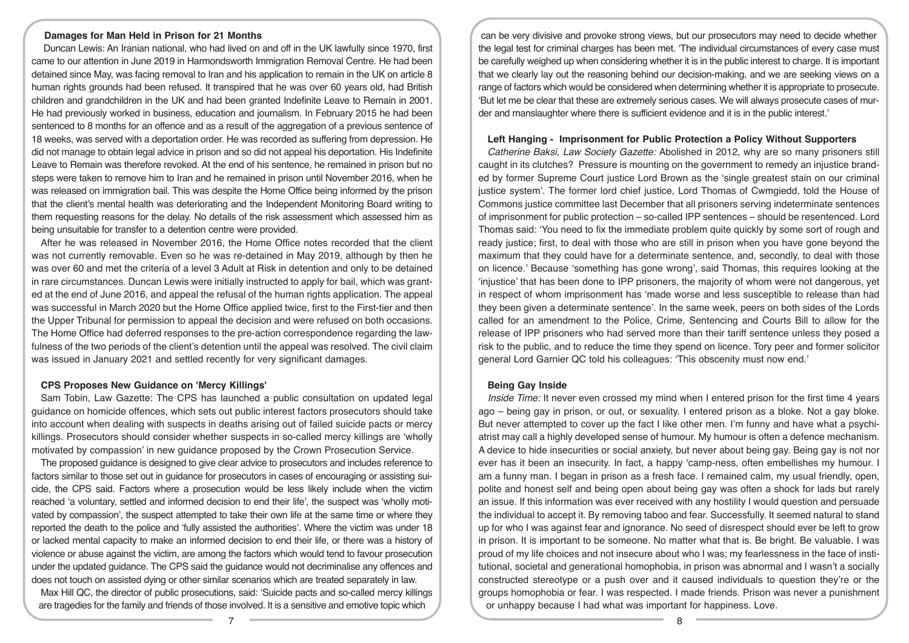#### **Damages for Man Held in Prison for 21 Months**

 Duncan Lewis: An Iranian national, who had lived on and off in the UK lawfully since 1970, first came to our attention in June 2019 in Harmondsworth Immigration Removal Centre. He had been detained since May, was facing removal to Iran and his application to remain in the UK on article 8 human rights grounds had been refused. It transpired that he was over 60 years old, had British children and grandchildren in the UK and had been granted Indefinite Leave to Remain in 2001. He had previously worked in business, education and journalism. In February 2015 he had been sentenced to 8 months for an offence and as a result of the aggregation of a previous sentence of 18 weeks, was served with a deportation order. He was recorded as suffering from depression. He did not manage to obtain legal advice in prison and so did not appeal his deportation. His Indefinite Leave to Remain was therefore revoked. At the end of his sentence, he remained in prison but no steps were taken to remove him to Iran and he remained in prison until November 2016, when he was released on immigration bail. This was despite the Home Office being informed by the prison that the client's mental health was deteriorating and the Independent Monitoring Board writing to them requesting reasons for the delay. No details of the risk assessment which assessed him as being unsuitable for transfer to a detention centre were provided.

After he was released in November 2016, the Home Office notes recorded that the client was not currently removable. Even so he was re-detained in May 2019, although by then he was over 60 and met the criteria of a level 3 Adult at Risk in detention and only to be detained in rare circumstances. Duncan Lewis were initially instructed to apply for bail, which was granted at the end of June 2016, and appeal the refusal of the human rights application. The appeal was successful in March 2020 but the Home Office applied twice, first to the First-tier and then the Upper Tribunal for permission to appeal the decision and were refused on both occasions. The Home Office had deferred responses to the pre-action correspondence regarding the lawfulness of the two periods of the client's detention until the appeal was resolved. The civil claim was issued in January 2021 and settled recently for very significant damages.

## **CPS Proposes New Guidance on 'Mercy Killings'**

Sam Tobin, Law Gazette: The CPS has launched a public consultation on updated legal guidance on homicide offences, which sets out public interest factors prosecutors should take into account when dealing with suspects in deaths arising out of failed suicide pacts or mercy killings. Prosecutors should consider whether suspects in so-called mercy killings are 'wholly motivated by compassion' in new guidance proposed by the Crown Prosecution Service.

The proposed guidance is designed to give clear advice to prosecutors and includes reference to factors similar to those set out in guidance for prosecutors in cases of encouraging or assisting suicide, the CPS said. Factors where a prosecution would be less likely include when the victim reached 'a voluntary, settled and informed decision to end their life', the suspect was 'wholly motivated by compassion', the suspect attempted to take their own life at the same time or where they reported the death to the police and 'fully assisted the authorities'. Where the victim was under 18 or lacked mental capacity to make an informed decision to end their life, or there was a history of violence or abuse against the victim, are among the factors which would tend to favour prosecution under the updated guidance. The CPS said the guidance would not decriminalise any offences and does not touch on assisted dying or other similar scenarios which are treated separately in law.

Max Hill QC, the director of public prosecutions, said: 'Suicide pacts and so-called mercy killings are tragedies for the family and friends of those involved. It is a sensitive and emotive topic which

can be very divisive and provoke strong views, but our prosecutors may need to decide whether the legal test for criminal charges has been met. 'The individual circumstances of every case must be carefully weighed up when considering whether it is in the public interest to charge. It is important that we clearly lay out the reasoning behind our decision-making, and we are seeking views on a range of factors which would be considered when determining whether it is appropriate to prosecute. 'But let me be clear that these are extremely serious cases. We will always prosecute cases of murder and manslaughter where there is sufficient evidence and it is in the public interest.'

### **Left Hanging - Imprisonment for Public Protection a Policy Without Supporters**

*Catherine Baksi, Law Society Gazette:* Abolished in 2012, why are so many prisoners still caught in its clutches? Pressure is mounting on the government to remedy an injustice branded by former Supreme Court justice Lord Brown as the 'single greatest stain on our criminal justice system'. The former lord chief justice, Lord Thomas of Cwmgiedd, told the House of Commons justice committee last December that all prisoners serving indeterminate sentences of imprisonment for public protection – so-called IPP sentences – should be resentenced. Lord Thomas said: 'You need to fix the immediate problem quite quickly by some sort of rough and ready justice; first, to deal with those who are still in prison when you have gone beyond the maximum that they could have for a determinate sentence, and, secondly, to deal with those on licence.' Because 'something has gone wrong', said Thomas, this requires looking at the 'injustice' that has been done to IPP prisoners, the majority of whom were not dangerous, yet in respect of whom imprisonment has 'made worse and less susceptible to release than had they been given a determinate sentence'. In the same week, peers on both sides of the Lords called for an amendment to the Police, Crime, Sentencing and Courts Bill to allow for the release of IPP prisoners who had served more than their tariff sentence unless they posed a risk to the public, and to reduce the time they spend on licence. Tory peer and former solicitor general Lord Garnier QC told his colleagues: 'This obscenity must now end.'

#### **Being Gay Inside**

*Inside Time:* It never even crossed my mind when I entered prison for the first time 4 years ago – being gay in prison, or out, or sexuality. I entered prison as a bloke. Not a gay bloke. But never attempted to cover up the fact I like other men. I'm funny and have what a psychiatrist may call a highly developed sense of humour. My humour is often a defence mechanism. A device to hide insecurities or social anxiety, but never about being gay. Being gay is not nor ever has it been an insecurity. In fact, a happy 'camp-ness, often embellishes my humour. I am a funny man. I began in prison as a fresh face. I remained calm, my usual friendly, open, polite and honest self and being open about being gay was often a shock for lads but rarely an issue. If this information was ever received with any hostility I would question and persuade the individual to accept it. By removing taboo and fear. Successfully. It seemed natural to stand up for who I was against fear and ignorance. No seed of disrespect should ever be left to grow in prison. It is important to be someone. No matter what that is. Be bright. Be valuable. I was proud of my life choices and not insecure about who I was; my fearlessness in the face of institutional, societal and generational homophobia, in prison was abnormal and I wasn't a socially constructed stereotype or a push over and it caused individuals to question they're or the groups homophobia or fear. I was respected. I made friends. Prison was never a punishment or unhappy because I had what was important for happiness. Love.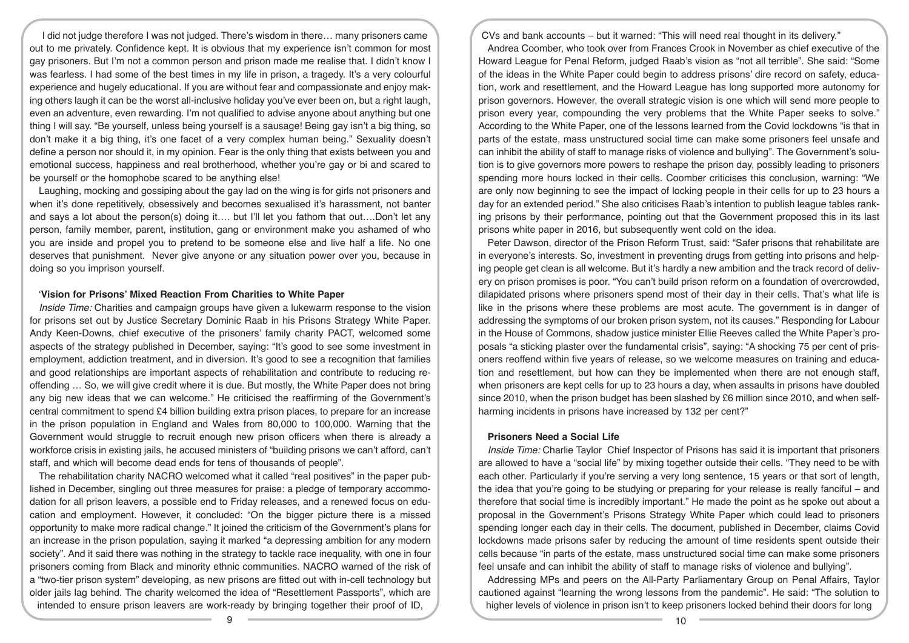I did not judge therefore I was not judged. There's wisdom in there… many prisoners came out to me privately. Confidence kept. It is obvious that my experience isn't common for most gay prisoners. But I'm not a common person and prison made me realise that. I didn't know I was fearless. I had some of the best times in my life in prison, a tragedy. It's a very colourful experience and hugely educational. If you are without fear and compassionate and enjoy making others laugh it can be the worst all-inclusive holiday you've ever been on, but a right laugh, even an adventure, even rewarding. I'm not qualified to advise anyone about anything but one thing I will say. "Be yourself, unless being yourself is a sausage! Being gay isn't a big thing, so don't make it a big thing, it's one facet of a very complex human being." Sexuality doesn't define a person nor should it, in my opinion. Fear is the only thing that exists between you and emotional success, happiness and real brotherhood, whether you're gay or bi and scared to be yourself or the homophobe scared to be anything else!

Laughing, mocking and gossiping about the gay lad on the wing is for girls not prisoners and when it's done repetitively, obsessively and becomes sexualised it's harassment, not banter and says a lot about the person(s) doing it…. but I'll let you fathom that out….Don't let any person, family member, parent, institution, gang or environment make you ashamed of who you are inside and propel you to pretend to be someone else and live half a life. No one deserves that punishment. Never give anyone or any situation power over you, because in doing so you imprison yourself.

## '**Vision for Prisons' Mixed Reaction From Charities to White Paper**

*Inside Time:* Charities and campaign groups have given a lukewarm response to the vision for prisons set out by Justice Secretary Dominic Raab in his Prisons Strategy White Paper. Andy Keen-Downs, chief executive of the prisoners' family charity PACT, welcomed some aspects of the strategy published in December, saying: "It's good to see some investment in employment, addiction treatment, and in diversion. It's good to see a recognition that families and good relationships are important aspects of rehabilitation and contribute to reducing reoffending … So, we will give credit where it is due. But mostly, the White Paper does not bring any big new ideas that we can welcome." He criticised the reaffirming of the Government's central commitment to spend £4 billion building extra prison places, to prepare for an increase in the prison population in England and Wales from 80,000 to 100,000. Warning that the Government would struggle to recruit enough new prison officers when there is already a workforce crisis in existing jails, he accused ministers of "building prisons we can't afford, can't staff, and which will become dead ends for tens of thousands of people".

The rehabilitation charity NACRO welcomed what it called "real positives" in the paper published in December, singling out three measures for praise: a pledge of temporary accommodation for all prison leavers, a possible end to Friday releases, and a renewed focus on education and employment. However, it concluded: "On the bigger picture there is a missed opportunity to make more radical change." It joined the criticism of the Government's plans for an increase in the prison population, saying it marked "a depressing ambition for any modern society". And it said there was nothing in the strategy to tackle race inequality, with one in four prisoners coming from Black and minority ethnic communities. NACRO warned of the risk of a "two-tier prison system" developing, as new prisons are fitted out with in-cell technology but older jails lag behind. The charity welcomed the idea of "Resettlement Passports", which are intended to ensure prison leavers are work-ready by bringing together their proof of ID,

CVs and bank accounts – but it warned: "This will need real thought in its delivery."

Andrea Coomber, who took over from Frances Crook in November as chief executive of the Howard League for Penal Reform, judged Raab's vision as "not all terrible". She said: "Some of the ideas in the White Paper could begin to address prisons' dire record on safety, education, work and resettlement, and the Howard League has long supported more autonomy for prison governors. However, the overall strategic vision is one which will send more people to prison every year, compounding the very problems that the White Paper seeks to solve." According to the White Paper, one of the lessons learned from the Covid lockdowns "is that in parts of the estate, mass unstructured social time can make some prisoners feel unsafe and can inhibit the ability of staff to manage risks of violence and bullying". The Government's solution is to give governors more powers to reshape the prison day, possibly leading to prisoners spending more hours locked in their cells. Coomber criticises this conclusion, warning: "We are only now beginning to see the impact of locking people in their cells for up to 23 hours a day for an extended period." She also criticises Raab's intention to publish league tables ranking prisons by their performance, pointing out that the Government proposed this in its last prisons white paper in 2016, but subsequently went cold on the idea.

Peter Dawson, director of the Prison Reform Trust, said: "Safer prisons that rehabilitate are in everyone's interests. So, investment in preventing drugs from getting into prisons and helping people get clean is all welcome. But it's hardly a new ambition and the track record of delivery on prison promises is poor. "You can't build prison reform on a foundation of overcrowded, dilapidated prisons where prisoners spend most of their day in their cells. That's what life is like in the prisons where these problems are most acute. The government is in danger of addressing the symptoms of our broken prison system, not its causes." Responding for Labour in the House of Commons, shadow justice minister Ellie Reeves called the White Paper's proposals "a sticking plaster over the fundamental crisis", saying: "A shocking 75 per cent of prisoners reoffend within five years of release, so we welcome measures on training and education and resettlement, but how can they be implemented when there are not enough staff, when prisoners are kept cells for up to 23 hours a day, when assaults in prisons have doubled since 2010, when the prison budget has been slashed by £6 million since 2010, and when selfharming incidents in prisons have increased by 132 per cent?"

## **Prisoners Need a Social Life**

*Inside Time:* Charlie Taylor Chief Inspector of Prisons has said it is important that prisoners are allowed to have a "social life" by mixing together outside their cells. "They need to be with each other. Particularly if you're serving a very long sentence, 15 years or that sort of length, the idea that you're going to be studying or preparing for your release is really fanciful – and therefore that social time is incredibly important." He made the point as he spoke out about a proposal in the Government's Prisons Strategy White Paper which could lead to prisoners spending longer each day in their cells. The document, published in December, claims Covid lockdowns made prisons safer by reducing the amount of time residents spent outside their cells because "in parts of the estate, mass unstructured social time can make some prisoners feel unsafe and can inhibit the ability of staff to manage risks of violence and bullying".

Addressing MPs and peers on the All-Party Parliamentary Group on Penal Affairs, Taylor cautioned against "learning the wrong lessons from the pandemic". He said: "The solution to higher levels of violence in prison isn't to keep prisoners locked behind their doors for long